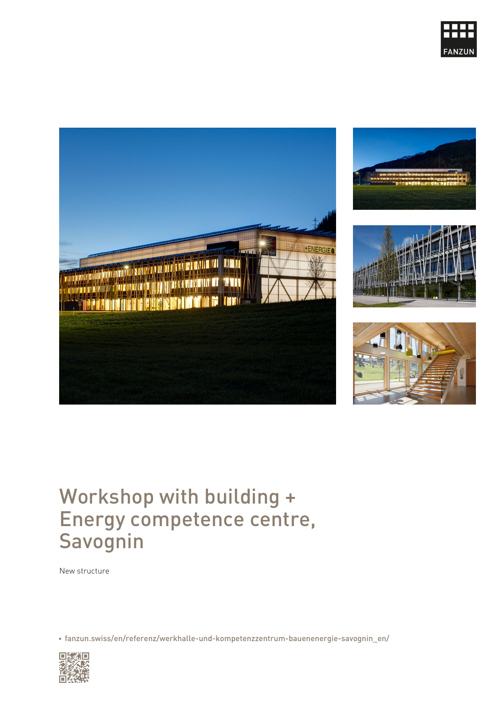# Workshop with building + Energy competence centre, Savognin

New structure

[fanzun.swiss/en/referenz/werkhalle-und-kompetenzzentrum-bauenenergie](https://www.fanzun.swiss/en/referenz/werkhalle-und-kompetenzzentrum-bauenenergie-savognin_en/)-savogning